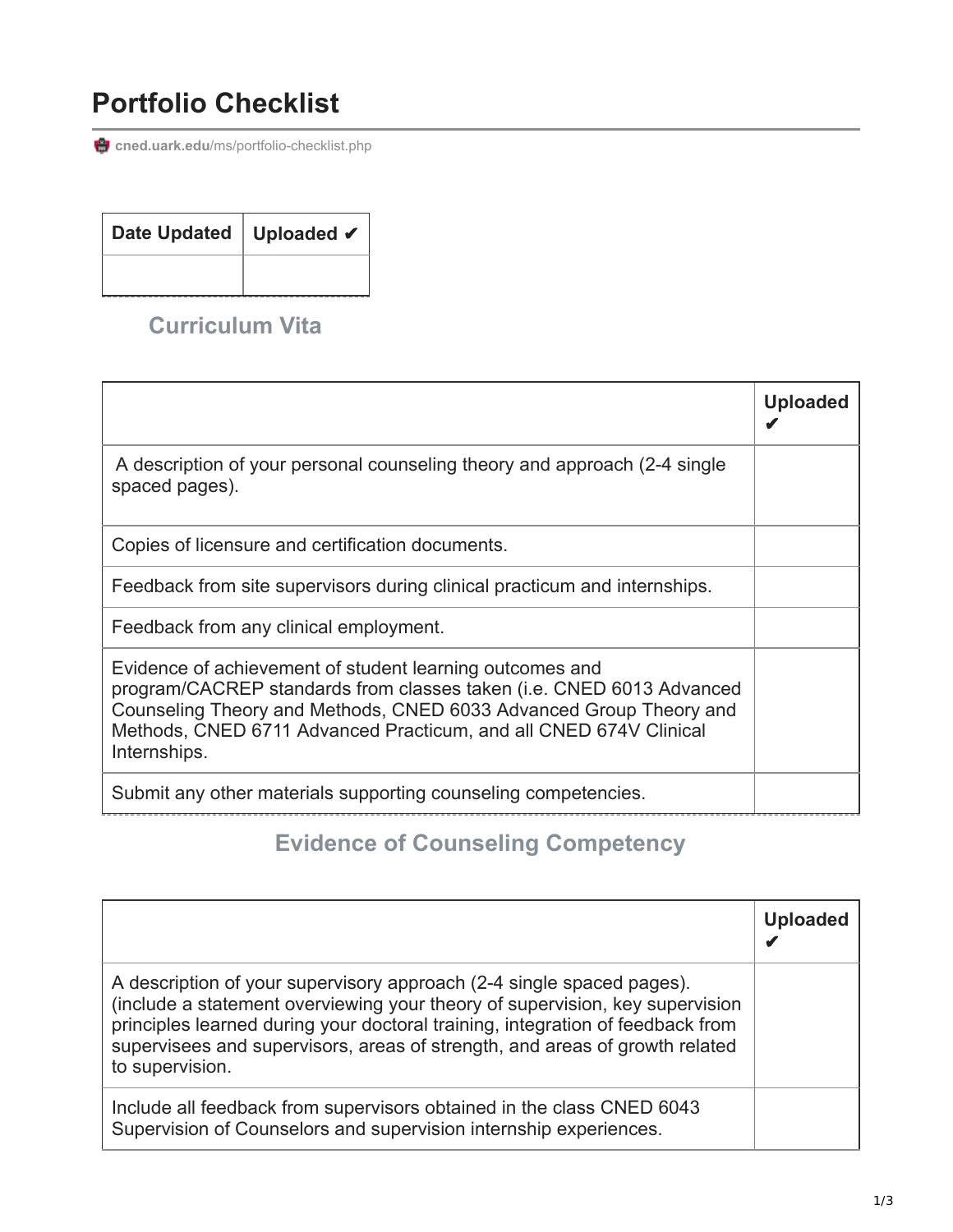## **Portfolio Checklist**

cned.uark.edu[/ms/portfolio-checklist.php](https://cned.uark.edu/ms/portfolio-checklist.php)

| Date Updated   Uploaded ✔ |  |
|---------------------------|--|
|                           |  |

#### **Curriculum Vita**

|                                                                                                                                                                                                                                                                                             | <b>Uploaded</b> |
|---------------------------------------------------------------------------------------------------------------------------------------------------------------------------------------------------------------------------------------------------------------------------------------------|-----------------|
| A description of your personal counseling theory and approach (2-4 single<br>spaced pages).                                                                                                                                                                                                 |                 |
| Copies of licensure and certification documents.                                                                                                                                                                                                                                            |                 |
| Feedback from site supervisors during clinical practicum and internships.                                                                                                                                                                                                                   |                 |
| Feedback from any clinical employment.                                                                                                                                                                                                                                                      |                 |
| Evidence of achievement of student learning outcomes and<br>program/CACREP standards from classes taken (i.e. CNED 6013 Advanced<br>Counseling Theory and Methods, CNED 6033 Advanced Group Theory and<br>Methods, CNED 6711 Advanced Practicum, and all CNED 674V Clinical<br>Internships. |                 |
| Submit any other materials supporting counseling competencies.                                                                                                                                                                                                                              |                 |

### **Evidence of Counseling Competency**

|                                                                                                                                                                                                                                                                                                                                           | <b>Uploaded</b> |
|-------------------------------------------------------------------------------------------------------------------------------------------------------------------------------------------------------------------------------------------------------------------------------------------------------------------------------------------|-----------------|
| A description of your supervisory approach (2-4 single spaced pages).<br>(include a statement overviewing your theory of supervision, key supervision<br>principles learned during your doctoral training, integration of feedback from<br>supervisees and supervisors, areas of strength, and areas of growth related<br>to supervision. |                 |
| Include all feedback from supervisors obtained in the class CNED 6043<br>Supervision of Counselors and supervision internship experiences.                                                                                                                                                                                                |                 |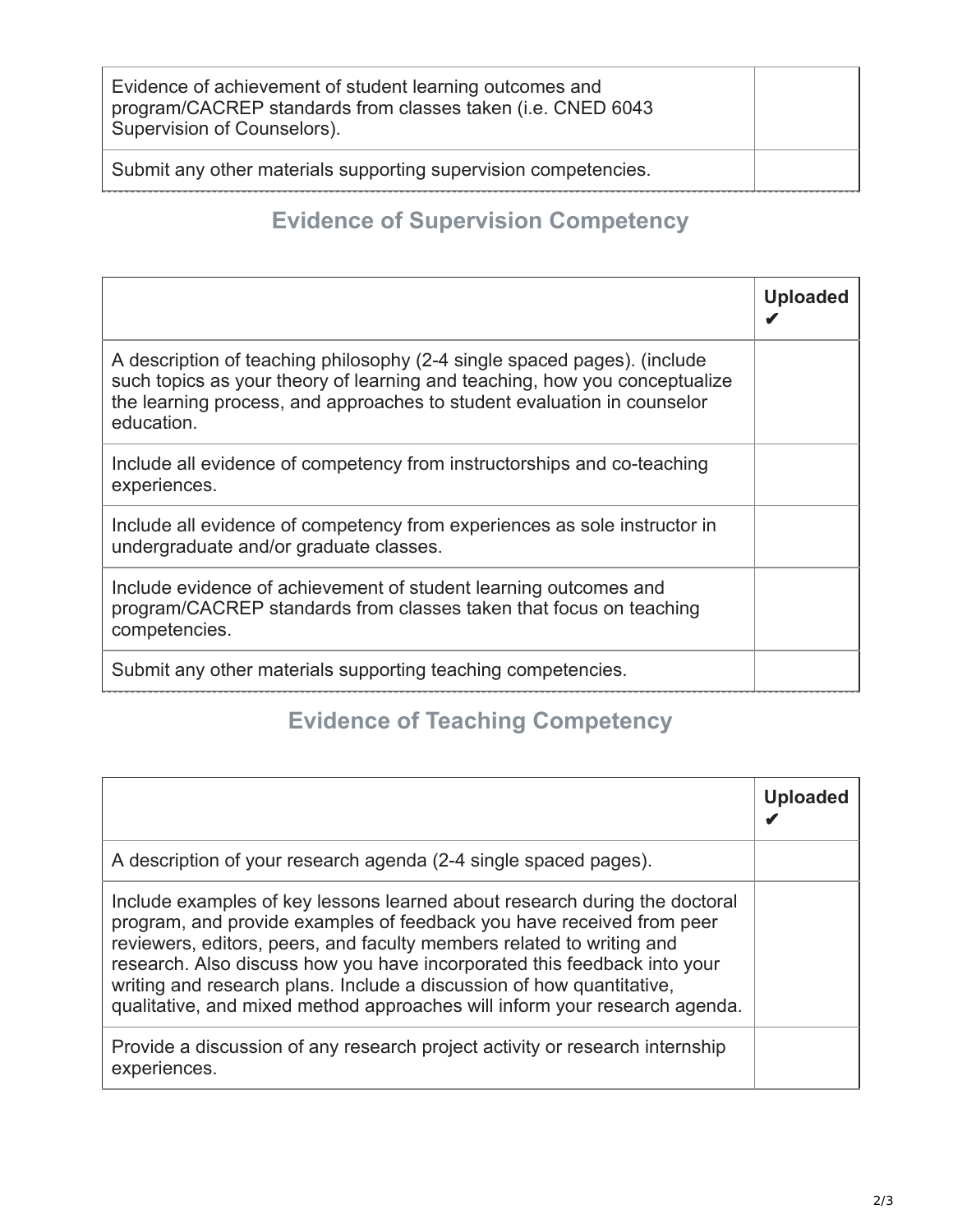| Evidence of achievement of student learning outcomes and<br>program/CACREP standards from classes taken (i.e. CNED 6043<br>Supervision of Counselors). |  |
|--------------------------------------------------------------------------------------------------------------------------------------------------------|--|
| Submit any other materials supporting supervision competencies.                                                                                        |  |

### **Evidence of Supervision Competency**

|                                                                                                                                                                                                                                                 | <b>Uploaded</b> |
|-------------------------------------------------------------------------------------------------------------------------------------------------------------------------------------------------------------------------------------------------|-----------------|
| A description of teaching philosophy (2-4 single spaced pages). (include<br>such topics as your theory of learning and teaching, how you conceptualize<br>the learning process, and approaches to student evaluation in counselor<br>education. |                 |
| Include all evidence of competency from instructorships and co-teaching<br>experiences.                                                                                                                                                         |                 |
| Include all evidence of competency from experiences as sole instructor in<br>undergraduate and/or graduate classes.                                                                                                                             |                 |
| Include evidence of achievement of student learning outcomes and<br>program/CACREP standards from classes taken that focus on teaching<br>competencies.                                                                                         |                 |
| Submit any other materials supporting teaching competencies.                                                                                                                                                                                    |                 |

# **Evidence of Teaching Competency**

|                                                                                                                                                                                                                                                                                                                                                                                                                                                                 | <b>Uploaded</b> |
|-----------------------------------------------------------------------------------------------------------------------------------------------------------------------------------------------------------------------------------------------------------------------------------------------------------------------------------------------------------------------------------------------------------------------------------------------------------------|-----------------|
| A description of your research agenda (2-4 single spaced pages).                                                                                                                                                                                                                                                                                                                                                                                                |                 |
| Include examples of key lessons learned about research during the doctoral<br>program, and provide examples of feedback you have received from peer<br>reviewers, editors, peers, and faculty members related to writing and<br>research. Also discuss how you have incorporated this feedback into your<br>writing and research plans. Include a discussion of how quantitative,<br>qualitative, and mixed method approaches will inform your research agenda. |                 |
| Provide a discussion of any research project activity or research internship<br>experiences.                                                                                                                                                                                                                                                                                                                                                                    |                 |